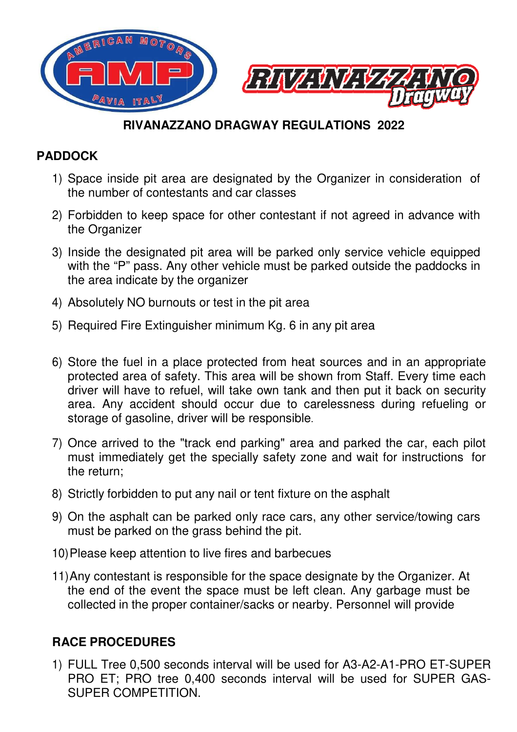

## **RIVANAZZANO RIVANAZZANO DRAGWAY REGULATIONS**

## **PADDOCK**

- 1) Space inside pit area are designated by the Organizer in consideration of the number of contestants and car classes
- 2) Forbidden to keep space for other contestant if not agreed in advance with the Organizer
- 3) Inside the designated pit area will be parked only service vehicle equipped with the "P" pass. Any other vehicle must be parked outside the paddocks in the area indicate by the the organizer
- 4) Absolutely NO burnouts or test in the pit area
- 5) Required Fire Extinguisher minimum Kg. 6 in any pit area
- 6) Store the fuel in a place protected from heat sources and in an appropriate protected area of safety. This area will be shown from Staff. Every time each driver will have to refuel, will take own tank and then put it back on security area. Any accident should occur due to carelessness during refueling or storage of gasoline, driver will be responsible. **RIVANAZZANO DRAGWAY REGULATIONS 2022**<br>side pit area are designated by the Organizer in coner of contestants and car classes<br>n to keep space for other contestant if not agreed in<br>nizer<br>n to keep space for other contestant
- 7) Once arrived to the "track end parking" area and parked the car, each pilot must immediately get the specially safety zone and wait for instructions for the return;
- 8) Strictly forbidden to put any nail or tent fixture on the asphalt
- 9) On the asphalt can be parked only race cars, any other service/towing cars must be parked on the grass behind the pit.
- 10) Please keep attention to live fires and barbecues
- 11) Any contestant is responsible for the space designate by the Organizer. At the end of the event the space must be left clean. Any garbage must be collected in the proper container/sacks or nearby. Personnel will provide

## **RACE PROCEDURES**

1) FULL Tree 0,500 seconds seconds interval will be used for A3-A2 A2-A1-PRO ET-SUPER PRO ET; PRO tree 0,400 seconds interval will be used for SUPER GAS-SUPER COMPETITION.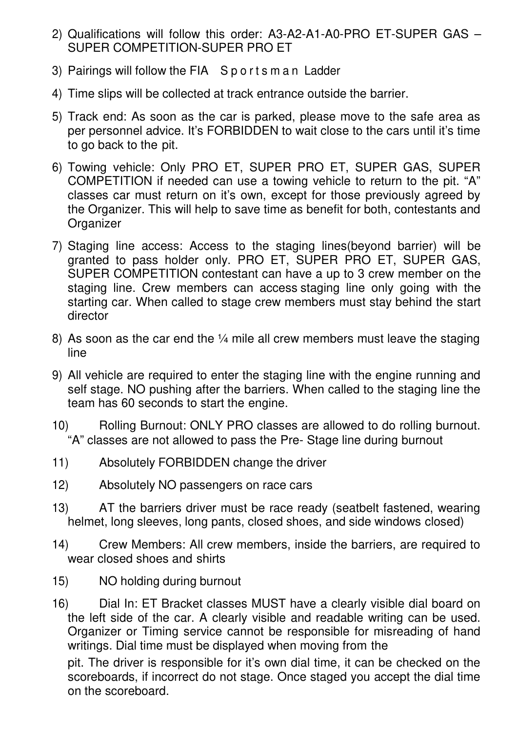- 2) Qualifications will follow this order: A3-A2-A1-A0-PRO ET-SUPER GAS SUPER COMPETITION-SUPER PRO ET
- 3) Pairings will follow the FIA S p o r t s m a n Ladder
- 4) Time slips will be collected at track entrance outside the barrier.
- 5) Track end: As soon as the car is parked, please move to the safe area as per personnel advice. It's FORBIDDEN to wait close to the cars until it's time to go back to the pit.
- 6) Towing vehicle: Only PRO ET, SUPER PRO ET, SUPER GAS, SUPER COMPETITION if needed can use a towing vehicle to return to the pit. "A" classes car must return on it's own, except for those previously agreed by the Organizer. This will help to save time as benefit for both, contestants and **Organizer**
- 7) Staging line access: Access to the staging lines(beyond barrier) will be granted to pass holder only. PRO ET, SUPER PRO ET, SUPER GAS, SUPER COMPETITION contestant can have a up to 3 crew member on the staging line. Crew members can access staging line only going with the starting car. When called to stage crew members must stay behind the start director
- 8) As soon as the car end the 1/4 mile all crew members must leave the staging line
- 9) All vehicle are required to enter the staging line with the engine running and self stage. NO pushing after the barriers. When called to the staging line the team has 60 seconds to start the engine.
- 10) Rolling Burnout: ONLY PRO classes are allowed to do rolling burnout. "A" classes are not allowed to pass the Pre- Stage line during burnout
- 11) Absolutely FORBIDDEN change the driver
- 12) Absolutely NO passengers on race cars
- 13) AT the barriers driver must be race ready (seatbelt fastened, wearing helmet, long sleeves, long pants, closed shoes, and side windows closed)
- 14) Crew Members: All crew members, inside the barriers, are required to wear closed shoes and shirts
- 15) NO holding during burnout
- 16) Dial In: ET Bracket classes MUST have a clearly visible dial board on the left side of the car. A clearly visible and readable writing can be used. Organizer or Timing service cannot be responsible for misreading of hand writings. Dial time must be displayed when moving from the

pit. The driver is responsible for it's own dial time, it can be checked on the scoreboards, if incorrect do not stage. Once staged you accept the dial time on the scoreboard.